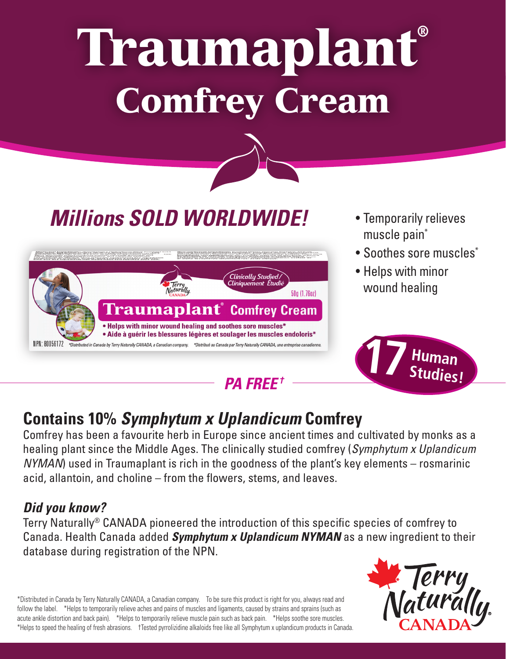# Traumaplant® Comfrey Cream



*Millions SOLD WORLDWIDE!*

## *PA FREE †*

- Temporarily relieves muscle pain\*
- Soothes sore muscles\*
- Helps with minor wound healing



## **Contains 10%** *Symphytum x Uplandicum* **Comfrey**

Comfrey has been a favourite herb in Europe since ancient times and cultivated by monks as a healing plant since the Middle Ages. The clinically studied comfrey (*Symphytum x Uplandicum NYMAN*) used in Traumaplant is rich in the goodness of the plant's key elements – rosmarinic acid, allantoin, and choline – from the flowers, stems, and leaves.

## *Did you know?*

Terry Naturally® CANADA pioneered the introduction of this specific species of comfrey to Canada. Health Canada added *Symphytum x Uplandicum NYMAN* as a new ingredient to their database during registration of the NPN.

\*Distributed in Canada by Terry Naturally CANADA, a Canadian company. To be sure this product is right for you, always read and follow the label. \*Helps to temporarily relieve aches and pains of muscles and ligaments, caused by strains and sprains (such as acute ankle distortion and back pain). \*Helps to temporarily relieve muscle pain such as back pain. \*Helps soothe sore muscles. \*Helps to speed the healing of fresh abrasions. †Tested pyrrolizidine alkaloids free like all Symphytum x uplandicum products in Canada.